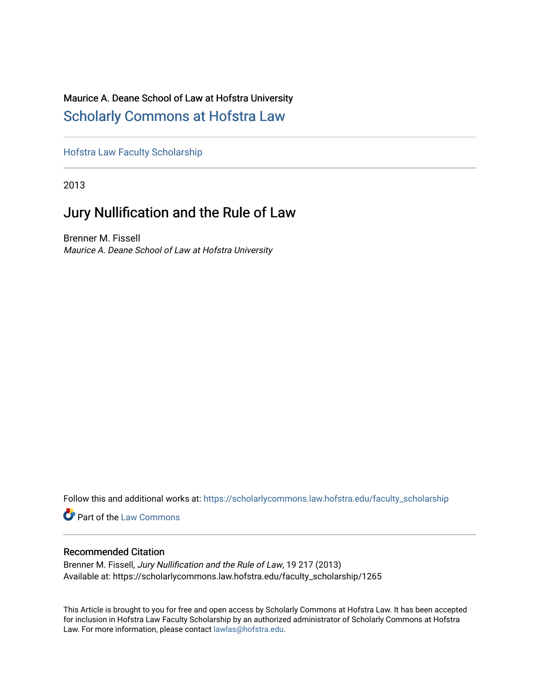## Maurice A. Deane School of Law at Hofstra University [Scholarly Commons at Hofstra Law](https://scholarlycommons.law.hofstra.edu/)

[Hofstra Law Faculty Scholarship](https://scholarlycommons.law.hofstra.edu/faculty_scholarship) 

2013

# Jury Nullification and the Rule of Law

Brenner M. Fissell Maurice A. Deane School of Law at Hofstra University

Follow this and additional works at: [https://scholarlycommons.law.hofstra.edu/faculty\\_scholarship](https://scholarlycommons.law.hofstra.edu/faculty_scholarship?utm_source=scholarlycommons.law.hofstra.edu%2Ffaculty_scholarship%2F1265&utm_medium=PDF&utm_campaign=PDFCoverPages)

Part of the [Law Commons](http://network.bepress.com/hgg/discipline/578?utm_source=scholarlycommons.law.hofstra.edu%2Ffaculty_scholarship%2F1265&utm_medium=PDF&utm_campaign=PDFCoverPages)

## Recommended Citation

Brenner M. Fissell, Jury Nullification and the Rule of Law, 19 217 (2013) Available at: https://scholarlycommons.law.hofstra.edu/faculty\_scholarship/1265

This Article is brought to you for free and open access by Scholarly Commons at Hofstra Law. It has been accepted for inclusion in Hofstra Law Faculty Scholarship by an authorized administrator of Scholarly Commons at Hofstra Law. For more information, please contact [lawlas@hofstra.edu.](mailto:lawlas@hofstra.edu)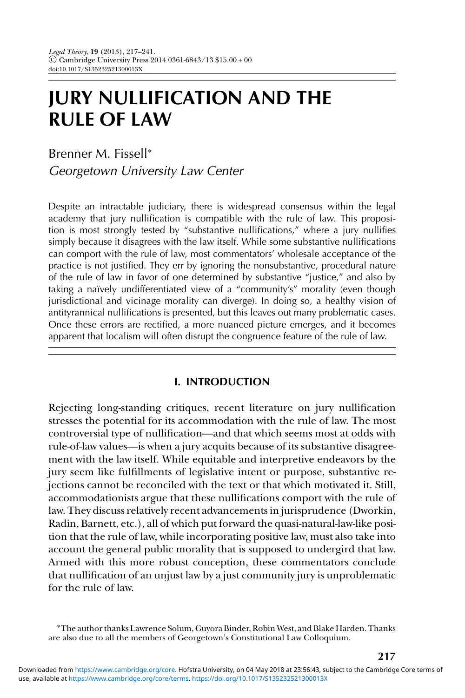# **JURY NULLIFICATION AND THE RULE OF LAW**

Brenner M. Fissell<sup>∗</sup> *Georgetown University Law Center*

Despite an intractable judiciary, there is widespread consensus within the legal academy that jury nullification is compatible with the rule of law. This proposition is most strongly tested by "substantive nullifications," where a jury nullifies simply because it disagrees with the law itself. While some substantive nullifications can comport with the rule of law, most commentators' wholesale acceptance of the practice is not justified. They err by ignoring the nonsubstantive, procedural nature of the rule of law in favor of one determined by substantive "justice," and also by taking a naïvely undifferentiated view of a "community's" morality (even though jurisdictional and vicinage morality can diverge). In doing so, a healthy vision of antityrannical nullifications is presented, but this leaves out many problematic cases. Once these errors are rectified, a more nuanced picture emerges, and it becomes apparent that localism will often disrupt the congruence feature of the rule of law.

### **I. INTRODUCTION**

Rejecting long-standing critiques, recent literature on jury nullification stresses the potential for its accommodation with the rule of law. The most controversial type of nullification—and that which seems most at odds with rule-of-law values—is when a jury acquits because of its substantive disagreement with the law itself. While equitable and interpretive endeavors by the jury seem like fulfillments of legislative intent or purpose, substantive rejections cannot be reconciled with the text or that which motivated it. Still, accommodationists argue that these nullifications comport with the rule of law. They discuss relatively recent advancements in jurisprudence (Dworkin, Radin, Barnett, etc.), all of which put forward the quasi-natural-law-like position that the rule of law, while incorporating positive law, must also take into account the general public morality that is supposed to undergird that law. Armed with this more robust conception, these commentators conclude that nullification of an unjust law by a just community jury is unproblematic for the rule of law.

<sup>∗</sup>The author thanks Lawrence Solum, Guyora Binder, Robin West, and Blake Harden. Thanks are also due to all the members of Georgetown's Constitutional Law Colloquium.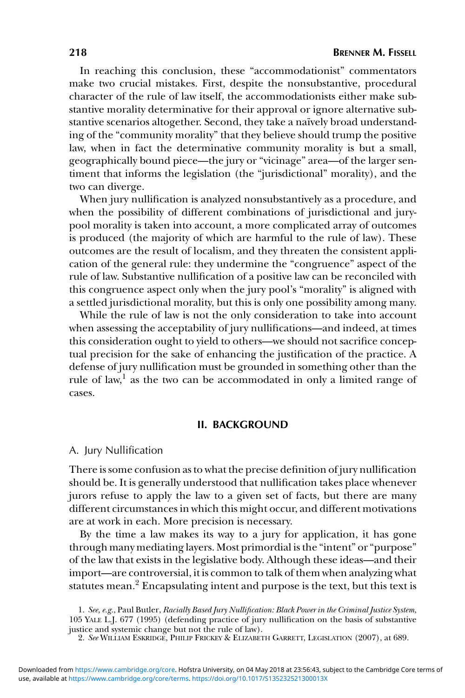In reaching this conclusion, these "accommodationist" commentators make two crucial mistakes. First, despite the nonsubstantive, procedural character of the rule of law itself, the accommodationists either make substantive morality determinative for their approval or ignore alternative substantive scenarios altogether. Second, they take a naïvely broad understanding of the "community morality" that they believe should trump the positive law, when in fact the determinative community morality is but a small, geographically bound piece—the jury or "vicinage" area—of the larger sentiment that informs the legislation (the "jurisdictional" morality), and the two can diverge.

When jury nullification is analyzed nonsubstantively as a procedure, and when the possibility of different combinations of jurisdictional and jurypool morality is taken into account, a more complicated array of outcomes is produced (the majority of which are harmful to the rule of law). These outcomes are the result of localism, and they threaten the consistent application of the general rule: they undermine the "congruence" aspect of the rule of law. Substantive nullification of a positive law can be reconciled with this congruence aspect only when the jury pool's "morality" is aligned with a settled jurisdictional morality, but this is only one possibility among many.

While the rule of law is not the only consideration to take into account when assessing the acceptability of jury nullifications—and indeed, at times this consideration ought to yield to others—we should not sacrifice conceptual precision for the sake of enhancing the justification of the practice. A defense of jury nullification must be grounded in something other than the rule of law,<sup>1</sup> as the two can be accommodated in only a limited range of cases.

#### **II. BACKGROUND**

A. Jury Nullification

There is some confusion as to what the precise definition of jury nullification should be. It is generally understood that nullification takes place whenever jurors refuse to apply the law to a given set of facts, but there are many different circumstances in which this might occur, and different motivations are at work in each. More precision is necessary.

By the time a law makes its way to a jury for application, it has gone through many mediating layers. Most primordial is the "intent" or "purpose" of the law that exists in the legislative body. Although these ideas—and their import—are controversial, it is common to talk of them when analyzing what statutes mean.<sup>2</sup> Encapsulating intent and purpose is the text, but this text is

<sup>1.</sup> *See, e.g.*, Paul Butler, *Racially Based Jury Nullification: Black Power in the Criminal Justice System*, 105 YALE L.J. 677 (1995) (defending practice of jury nullification on the basis of substantive justice and systemic change but not the rule of law).

<sup>2.</sup> *See* WILLIAM ESKRIDGE, PHILIP FRICKEY & ELIZABETH GARRETT, LEGISLATION (2007), at 689.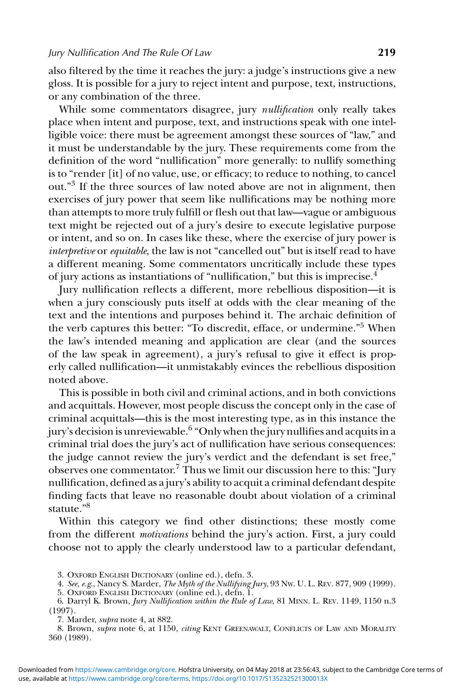also filtered by the time it reaches the jury: a judge's instructions give a new gloss. It is possible for a jury to reject intent and purpose, text, instructions, or any combination of the three.

While some commentators disagree, jury *nullification* only really takes place when intent and purpose, text, and instructions speak with one intelligible voice: there must be agreement amongst these sources of "law," and it must be understandable by the jury. These requirements come from the definition of the word "nullification" more generally: to nullify something is to "render [it] of no value, use, or efficacy; to reduce to nothing, to cancel out."<sup>3</sup> If the three sources of law noted above are not in alignment, then exercises of jury power that seem like nullifications may be nothing more than attempts to more truly fulfill or flesh out that law—vague or ambiguous text might be rejected out of a jury's desire to execute legislative purpose or intent, and so on. In cases like these, where the exercise of jury power is *interpretive* or *equitable*, the law is not "cancelled out" but is itself read to have a different meaning. Some commentators uncritically include these types of jury actions as instantiations of "nullification," but this is imprecise.<sup>4</sup>

Jury nullification reflects a different, more rebellious disposition—it is when a jury consciously puts itself at odds with the clear meaning of the text and the intentions and purposes behind it. The archaic definition of the verb captures this better: "To discredit, efface, or undermine."5 When the law's intended meaning and application are clear (and the sources of the law speak in agreement), a jury's refusal to give it effect is properly called nullification—it unmistakably evinces the rebellious disposition noted above.

This is possible in both civil and criminal actions, and in both convictions and acquittals. However, most people discuss the concept only in the case of criminal acquittals—this is the most interesting type, as in this instance the jury's decision is unreviewable.<sup>6</sup> "Only when the jury nullifies and acquits in a criminal trial does the jury's act of nullification have serious consequences: the judge cannot review the jury's verdict and the defendant is set free," observes one commentator.<sup>7</sup> Thus we limit our discussion here to this: "Jury nullification, defined as a jury's ability to acquit a criminal defendant despite finding facts that leave no reasonable doubt about violation of a criminal statute."<sup>8</sup>

Within this category we find other distinctions; these mostly come from the different *motivations* behind the jury's action. First, a jury could choose not to apply the clearly understood law to a particular defendant,

5. OXFORD ENGLISH DICTIONARY (online ed.), defn. 1.

<sup>3.</sup> OXFORD ENGLISH DICTIONARY (online ed.), defn. 3.

<sup>4.</sup> *See, e.g.*, Nancy S. Marder, *The Myth of the Nullifying Jury*, 93 NW. U. L. REV*.* 877, 909 (1999).

<sup>6.</sup> Darryl K. Brown, *Jury Nullification within the Rule of Law*, 81 MINN. L. REV. 1149, 1150 n.3 (1997).

<sup>7.</sup> Marder, *supra* note 4, at 882.

<sup>8.</sup> Brown, *supra* note 6, at 1150, *citing* KENT GREENAWALT, CONFLICTS OF LAW AND MORALITY 360 (1989).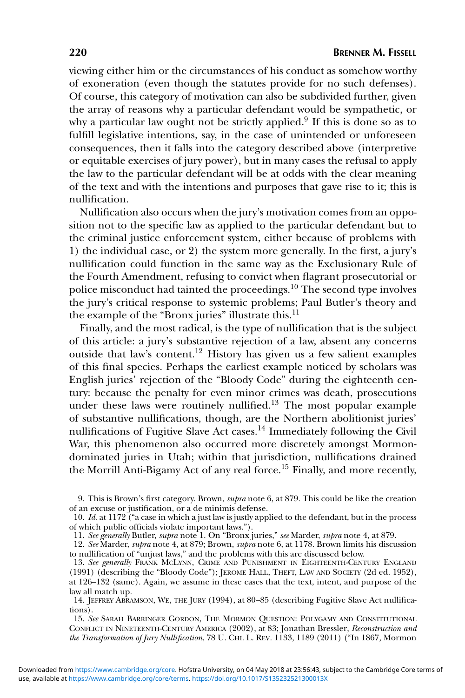viewing either him or the circumstances of his conduct as somehow worthy of exoneration (even though the statutes provide for no such defenses). Of course, this category of motivation can also be subdivided further, given the array of reasons why a particular defendant would be sympathetic, or why a particular law ought not be strictly applied.<sup>9</sup> If this is done so as to fulfill legislative intentions, say, in the case of unintended or unforeseen consequences, then it falls into the category described above (interpretive or equitable exercises of jury power), but in many cases the refusal to apply the law to the particular defendant will be at odds with the clear meaning of the text and with the intentions and purposes that gave rise to it; this is nullification.

Nullification also occurs when the jury's motivation comes from an opposition not to the specific law as applied to the particular defendant but to the criminal justice enforcement system, either because of problems with 1) the individual case, or 2) the system more generally. In the first, a jury's nullification could function in the same way as the Exclusionary Rule of the Fourth Amendment, refusing to convict when flagrant prosecutorial or police misconduct had tainted the proceedings.<sup>10</sup> The second type involves the jury's critical response to systemic problems; Paul Butler's theory and the example of the "Bronx juries" illustrate this.<sup>11</sup>

Finally, and the most radical, is the type of nullification that is the subject of this article: a jury's substantive rejection of a law, absent any concerns outside that law's content.12 History has given us a few salient examples of this final species. Perhaps the earliest example noticed by scholars was English juries' rejection of the "Bloody Code" during the eighteenth century: because the penalty for even minor crimes was death, prosecutions under these laws were routinely nullified.<sup>13</sup> The most popular example of substantive nullifications, though, are the Northern abolitionist juries' nullifications of Fugitive Slave Act cases.14 Immediately following the Civil War, this phenomenon also occurred more discretely amongst Mormondominated juries in Utah; within that jurisdiction, nullifications drained the Morrill Anti-Bigamy Act of any real force.15 Finally, and more recently,

9. This is Brown's first category. Brown, *supra* note 6, at 879. This could be like the creation of an excuse or justification, or a de minimis defense.

10. *Id*. at 1172 ("a case in which a just law is justly applied to the defendant, but in the process of which public officials violate important laws.").

11. *See generally* Butler, *supra* note 1. On "Bronx juries," *see* Marder, *supra* note 4, at 879.

12. *See* Marder, *supra* note 4, at 879; Brown, *supra* note 6, at 1178. Brown limits his discussion to nullification of "unjust laws," and the problems with this are discussed below.

13. *See generally* FRANK MCLYNN, CRIME AND PUNISHMENT IN EIGHTEENTH-CENTURY ENGLAND (1991) (describing the "Bloody Code"); JEROME HALL, THEFT, LAW AND SOCIETY (2d ed. 1952), at 126–132 (same). Again, we assume in these cases that the text, intent, and purpose of the law all match up.

14. JEFFREY ABRAMSON, WE, THE JURY (1994), at 80–85 (describing Fugitive Slave Act nullifications).

15. *See* SARAH BARRINGER GORDON, THE MORMON QUESTION: POLYGAMY AND CONSTITUTIONAL CONFLICT IN NINETEENTH-CENTURY AMERICA (2002), at 83; Jonathan Bressler, *Reconstruction and the Transformation of Jury Nullification*, 78 U. CHI. L. REV*.* 1133, 1189 (2011) ("In 1867, Mormon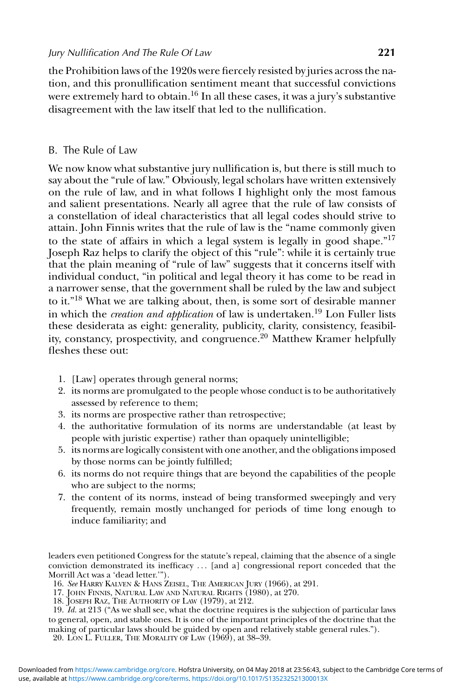the Prohibition laws of the 1920s were fiercely resisted by juries across the nation, and this pronullification sentiment meant that successful convictions were extremely hard to obtain.<sup>16</sup> In all these cases, it was a jury's substantive disagreement with the law itself that led to the nullification.

#### B. The Rule of Law

We now know what substantive jury nullification is, but there is still much to say about the "rule of law." Obviously, legal scholars have written extensively on the rule of law, and in what follows I highlight only the most famous and salient presentations. Nearly all agree that the rule of law consists of a constellation of ideal characteristics that all legal codes should strive to attain. John Finnis writes that the rule of law is the "name commonly given to the state of affairs in which a legal system is legally in good shape."<sup>17</sup> Joseph Raz helps to clarify the object of this "rule": while it is certainly true that the plain meaning of "rule of law" suggests that it concerns itself with individual conduct, "in political and legal theory it has come to be read in a narrower sense, that the government shall be ruled by the law and subject to it."18 What we are talking about, then, is some sort of desirable manner in which the *creation and application* of law is undertaken.19 Lon Fuller lists these desiderata as eight: generality, publicity, clarity, consistency, feasibility, constancy, prospectivity, and congruence.<sup>20</sup> Matthew Kramer helpfully fleshes these out:

- 1. [Law] operates through general norms;
- 2. its norms are promulgated to the people whose conduct is to be authoritatively assessed by reference to them;
- 3. its norms are prospective rather than retrospective;
- 4. the authoritative formulation of its norms are understandable (at least by people with juristic expertise) rather than opaquely unintelligible;
- 5. its norms are logically consistent with one another, and the obligations imposed by those norms can be jointly fulfilled;
- 6. its norms do not require things that are beyond the capabilities of the people who are subject to the norms;
- 7. the content of its norms, instead of being transformed sweepingly and very frequently, remain mostly unchanged for periods of time long enough to induce familiarity; and

leaders even petitioned Congress for the statute's repeal, claiming that the absence of a single conviction demonstrated its inefficacy ... [and a] congressional report conceded that the Morrill Act was a 'dead letter.'").

17. JOHN FINNIS, NATURAL LAW AND NATURAL RIGHTS (1980), at 270.

19. *Id.* at 213 ("As we shall see, what the doctrine requires is the subjection of particular laws to general, open, and stable ones. It is one of the important principles of the doctrine that the making of particular laws should be guided by open and relatively stable general rules.").

20. LON L. FULLER, THE MORALITY OF LAW  $(1969)$ , at 38–39.

<sup>16.</sup> *See* HARRY KALVEN & HANS ZEISEL, THE AMERICAN JURY (1966), at 291.

<sup>18.</sup> JOSEPH RAZ, THE AUTHORITY OF LAW (1979), at 212.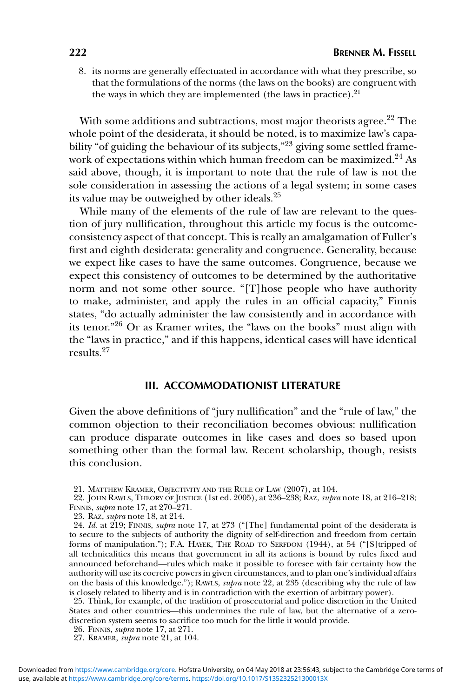8. its norms are generally effectuated in accordance with what they prescribe, so that the formulations of the norms (the laws on the books) are congruent with the ways in which they are implemented (the laws in practice). $21$ 

With some additions and subtractions, most major theorists agree.<sup>22</sup> The whole point of the desiderata, it should be noted, is to maximize law's capability "of guiding the behaviour of its subjects,"<sup>23</sup> giving some settled framework of expectations within which human freedom can be maximized.<sup>24</sup> As said above, though, it is important to note that the rule of law is not the sole consideration in assessing the actions of a legal system; in some cases its value may be outweighed by other ideals.25

While many of the elements of the rule of law are relevant to the question of jury nullification, throughout this article my focus is the outcomeconsistency aspect of that concept. This is really an amalgamation of Fuller's first and eighth desiderata: generality and congruence. Generality, because we expect like cases to have the same outcomes. Congruence, because we expect this consistency of outcomes to be determined by the authoritative norm and not some other source. "[T]hose people who have authority to make, administer, and apply the rules in an official capacity," Finnis states, "do actually administer the law consistently and in accordance with its tenor."26 Or as Kramer writes, the "laws on the books" must align with the "laws in practice," and if this happens, identical cases will have identical results.27

#### **III. ACCOMMODATIONIST LITERATURE**

Given the above definitions of "jury nullification" and the "rule of law," the common objection to their reconciliation becomes obvious: nullification can produce disparate outcomes in like cases and does so based upon something other than the formal law. Recent scholarship, though, resists this conclusion.

21. MATTHEW KRAMER, OBJECTIVITY AND THE RULE OF LAW (2007), at 104.

25. Think, for example, of the tradition of prosecutorial and police discretion in the United States and other countries—this undermines the rule of law, but the alternative of a zerodiscretion system seems to sacrifice too much for the little it would provide.

26. FINNIS, *supra* note 17, at 271.

<sup>22.</sup> JOHN RAWLS, THEORY OF JUSTICE (1st ed. 2005), at 236–238; RAZ, *supra* note 18, at 216–218; FINNIS, *supra* note 17, at 270–271.

<sup>23.</sup> RAZ, *supra* note 18, at 214.

<sup>24.</sup> *Id*. at 219; FINNIS, *supra* note 17, at 273 ("[The] fundamental point of the desiderata is to secure to the subjects of authority the dignity of self-direction and freedom from certain forms of manipulation."); F.A. HAYEK, THE ROAD TO SERFDOM (1944), at 54 ("[S]tripped of all technicalities this means that government in all its actions is bound by rules fixed and announced beforehand—rules which make it possible to foresee with fair certainty how the authority will use its coercive powers in given circumstances, and to plan one's individual affairs on the basis of this knowledge."); RAWLS, *supra* note 22, at 235 (describing why the rule of law is closely related to liberty and is in contradiction with the exertion of arbitrary power).

<sup>27.</sup> KRAMER, *supra* note 21, at 104.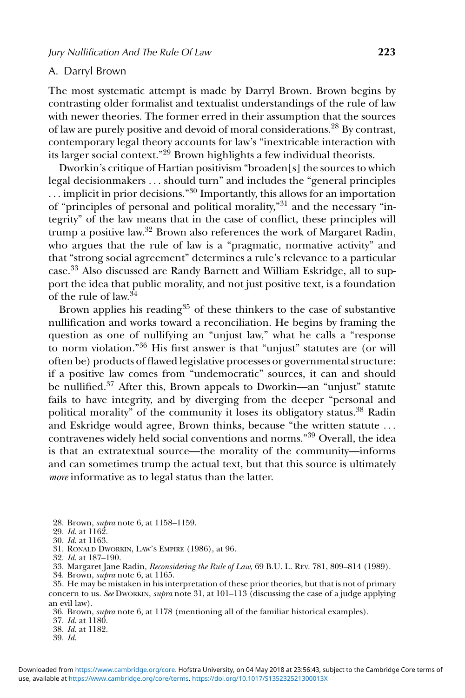#### A. Darryl Brown

The most systematic attempt is made by Darryl Brown. Brown begins by contrasting older formalist and textualist understandings of the rule of law with newer theories. The former erred in their assumption that the sources of law are purely positive and devoid of moral considerations.28 By contrast, contemporary legal theory accounts for law's "inextricable interaction with its larger social context."29 Brown highlights a few individual theorists.

Dworkin's critique of Hartian positivism "broaden[s] the sources to which legal decisionmakers ... should turn" and includes the "general principles  $\ldots$  implicit in prior decisions."<sup>30</sup> Importantly, this allows for an importation of "principles of personal and political morality,"31 and the necessary "integrity" of the law means that in the case of conflict, these principles will trump a positive law.32 Brown also references the work of Margaret Radin, who argues that the rule of law is a "pragmatic, normative activity" and that "strong social agreement" determines a rule's relevance to a particular case.<sup>33</sup> Also discussed are Randy Barnett and William Eskridge, all to support the idea that public morality, and not just positive text, is a foundation of the rule of law.<sup>34</sup>

Brown applies his reading<sup>35</sup> of these thinkers to the case of substantive nullification and works toward a reconciliation. He begins by framing the question as one of nullifying an "unjust law," what he calls a "response to norm violation."36 His first answer is that "unjust" statutes are (or will often be) products of flawed legislative processes or governmental structure: if a positive law comes from "undemocratic" sources, it can and should be nullified.<sup>37</sup> After this, Brown appeals to Dworkin—an "unjust" statute fails to have integrity, and by diverging from the deeper "personal and political morality" of the community it loses its obligatory status.38 Radin and Eskridge would agree, Brown thinks, because "the written statute ... contravenes widely held social conventions and norms."<sup>39</sup> Overall, the idea is that an extratextual source—the morality of the community—informs and can sometimes trump the actual text, but that this source is ultimately *more* informative as to legal status than the latter.

- 28. Brown, *supra* note 6, at 1158–1159.
- 29. *Id*. at 1162.
- 30. *Id*. at 1163.
- 31. RONALD DWORKIN, LAW'S EMPIRE (1986), at 96.
- 32. *Id*. at 187–190.

33. Margaret Jane Radin, *Reconsidering the Rule of Law*, 69 B.U. L. REV. 781, 809–814 (1989).

34. Brown, *supra* note 6, at 1165.

35. He may be mistaken in his interpretation of these prior theories, but that is not of primary concern to us. *See* DWORKIN, *supra* note 31, at 101–113 (discussing the case of a judge applying an evil law).

36. Brown, *supra* note 6, at 1178 (mentioning all of the familiar historical examples).

37. *Id*. at 1180.

38. *Id*. at 1182.

39. *Id*.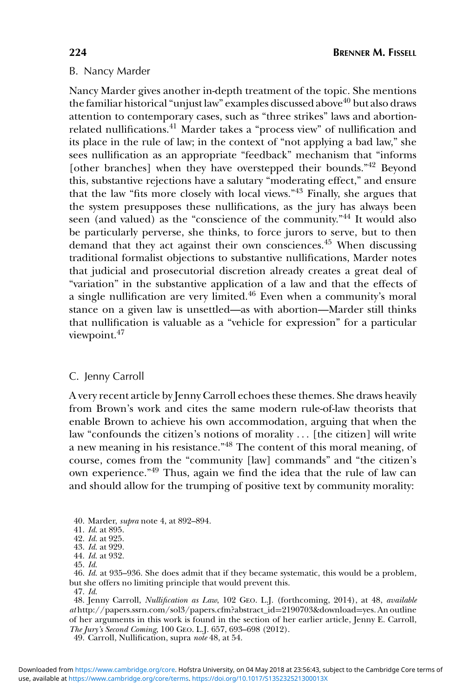#### B. Nancy Marder

Nancy Marder gives another in-depth treatment of the topic. She mentions the familiar historical "unjust law" examples discussed above  $40$  but also draws attention to contemporary cases, such as "three strikes" laws and abortionrelated nullifications.41 Marder takes a "process view" of nullification and its place in the rule of law; in the context of "not applying a bad law," she sees nullification as an appropriate "feedback" mechanism that "informs [other branches] when they have overstepped their bounds."<sup>42</sup> Beyond this, substantive rejections have a salutary "moderating effect," and ensure that the law "fits more closely with local views."<sup>43</sup> Finally, she argues that the system presupposes these nullifications, as the jury has always been seen (and valued) as the "conscience of the community."<sup>44</sup> It would also be particularly perverse, she thinks, to force jurors to serve, but to then demand that they act against their own consciences.45 When discussing traditional formalist objections to substantive nullifications, Marder notes that judicial and prosecutorial discretion already creates a great deal of "variation" in the substantive application of a law and that the effects of a single nullification are very limited.<sup>46</sup> Even when a community's moral stance on a given law is unsettled—as with abortion—Marder still thinks that nullification is valuable as a "vehicle for expression" for a particular viewpoint.<sup>47</sup>

#### C. Jenny Carroll

A very recent article by Jenny Carroll echoes these themes. She draws heavily from Brown's work and cites the same modern rule-of-law theorists that enable Brown to achieve his own accommodation, arguing that when the law "confounds the citizen's notions of morality ... [the citizen] will write a new meaning in his resistance."<sup>48</sup> The content of this moral meaning, of course, comes from the "community [law] commands" and "the citizen's own experience."<sup>49</sup> Thus, again we find the idea that the rule of law can and should allow for the trumping of positive text by community morality:

48. Jenny Carroll, *Nullification as Law*, 102 GEO. L.J. (forthcoming, 2014), at 48, *available at* http://papers.ssrn.com/sol3/papers.cfm?abstract\_id=2190703&download=yes. An outline of her arguments in this work is found in the section of her earlier article, Jenny E. Carroll, *The Jury's Second Coming*, 100 GEO. L.J. 657, 693–698 (2012).

49. Carroll, Nullification, supra *note* 48, at 54.

<sup>40.</sup> Marder, *supra* note 4, at 892–894.

<sup>41.</sup> *Id*. at 895.

<sup>42.</sup> *Id*. at 925.

<sup>43.</sup> *Id*. at 929. 44. *Id*. at 932.

<sup>45.</sup> *Id*.

<sup>46.</sup> *Id*. at 935–936. She does admit that if they became systematic, this would be a problem, but she offers no limiting principle that would prevent this.

<sup>47.</sup> *Id*.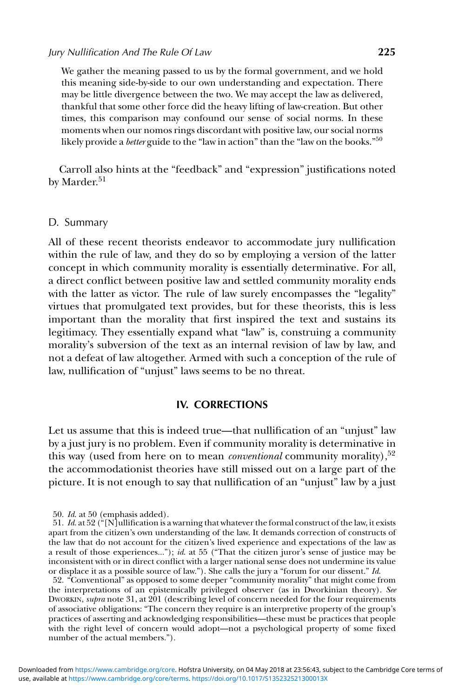We gather the meaning passed to us by the formal government, and we hold this meaning side-by-side to our own understanding and expectation. There may be little divergence between the two. We may accept the law as delivered, thankful that some other force did the heavy lifting of law-creation. But other times, this comparison may confound our sense of social norms. In these moments when our nomos rings discordant with positive law, our social norms likely provide a *better* guide to the "law in action" than the "law on the books."<sup>50</sup>

Carroll also hints at the "feedback" and "expression" justifications noted by Marder.<sup>51</sup>

#### D. Summary

All of these recent theorists endeavor to accommodate jury nullification within the rule of law, and they do so by employing a version of the latter concept in which community morality is essentially determinative. For all, a direct conflict between positive law and settled community morality ends with the latter as victor. The rule of law surely encompasses the "legality" virtues that promulgated text provides, but for these theorists, this is less important than the morality that first inspired the text and sustains its legitimacy. They essentially expand what "law" is, construing a community morality's subversion of the text as an internal revision of law by law, and not a defeat of law altogether. Armed with such a conception of the rule of law, nullification of "unjust" laws seems to be no threat.

#### **IV. CORRECTIONS**

Let us assume that this is indeed true—that nullification of an "unjust" law by a just jury is no problem. Even if community morality is determinative in this way (used from here on to mean *conventional* community morality),  $52$ the accommodationist theories have still missed out on a large part of the picture. It is not enough to say that nullification of an "unjust" law by a just

50. *Id*. at 50 (emphasis added).

52. "Conventional" as opposed to some deeper "community morality" that might come from the interpretations of an epistemically privileged observer (as in Dworkinian theory). *See* DWORKIN, *supra* note 31, at 201 (describing level of concern needed for the four requirements of associative obligations: "The concern they require is an interpretive property of the group's practices of asserting and acknowledging responsibilities—these must be practices that people with the right level of concern would adopt—not a psychological property of some fixed number of the actual members.").

<sup>51.</sup> *Id*. at 52 ("[N]ullification is a warning that whatever the formal construct of the law, it exists apart from the citizen's own understanding of the law. It demands correction of constructs of the law that do not account for the citizen's lived experience and expectations of the law as a result of those experiences..."); *id*. at 55 ("That the citizen juror's sense of justice may be inconsistent with or in direct conflict with a larger national sense does not undermine its value or displace it as a possible source of law."). She calls the jury a "forum for our dissent." *Id*.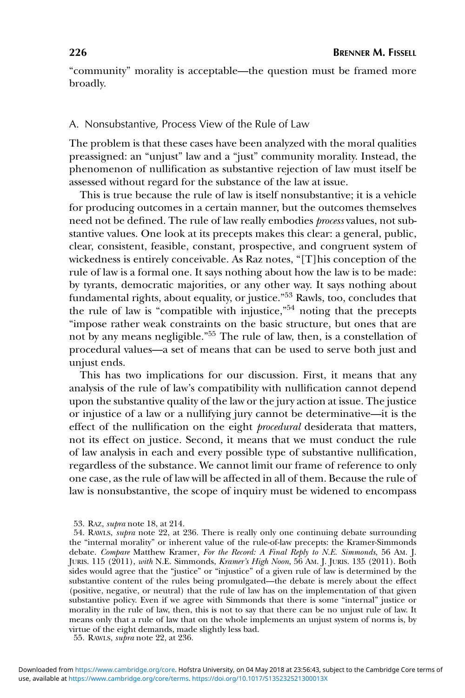"community" morality is acceptable—the question must be framed more broadly.

#### A. Nonsubstantive, Process View of the Rule of Law

The problem is that these cases have been analyzed with the moral qualities preassigned: an "unjust" law and a "just" community morality. Instead, the phenomenon of nullification as substantive rejection of law must itself be assessed without regard for the substance of the law at issue.

This is true because the rule of law is itself nonsubstantive; it is a vehicle for producing outcomes in a certain manner, but the outcomes themselves need not be defined. The rule of law really embodies *process* values, not substantive values. One look at its precepts makes this clear: a general, public, clear, consistent, feasible, constant, prospective, and congruent system of wickedness is entirely conceivable. As Raz notes, "[T]his conception of the rule of law is a formal one. It says nothing about how the law is to be made: by tyrants, democratic majorities, or any other way. It says nothing about fundamental rights, about equality, or justice."53 Rawls, too, concludes that the rule of law is "compatible with injustice,"54 noting that the precepts "impose rather weak constraints on the basic structure, but ones that are not by any means negligible."55 The rule of law, then, is a constellation of procedural values—a set of means that can be used to serve both just and unjust ends.

This has two implications for our discussion. First, it means that any analysis of the rule of law's compatibility with nullification cannot depend upon the substantive quality of the law or the jury action at issue. The justice or injustice of a law or a nullifying jury cannot be determinative—it is the effect of the nullification on the eight *procedural* desiderata that matters, not its effect on justice. Second, it means that we must conduct the rule of law analysis in each and every possible type of substantive nullification, regardless of the substance. We cannot limit our frame of reference to only one case, as the rule of law will be affected in all of them. Because the rule of law is nonsubstantive, the scope of inquiry must be widened to encompass

<sup>53.</sup> RAZ, *supra* note 18, at 214.

<sup>54.</sup> RAWLS, *supra* note 22, at 236. There is really only one continuing debate surrounding the "internal morality" or inherent value of the rule-of-law precepts: the Kramer-Simmonds debate. *Compare* Matthew Kramer, *For the Record: A Final Reply to N.E. Simmonds*, 56 AM. J. JURIS. 115 (2011), *with* N.E. Simmonds, *Kramer's High Noon*, 56 AM. J. JURIS. 135 (2011). Both sides would agree that the "justice" or "injustice" of a given rule of law is determined by the substantive content of the rules being promulgated—the debate is merely about the effect (positive, negative, or neutral) that the rule of law has on the implementation of that given substantive policy. Even if we agree with Simmonds that there is some "internal" justice or morality in the rule of law, then, this is not to say that there can be no unjust rule of law. It means only that a rule of law that on the whole implements an unjust system of norms is, by virtue of the eight demands, made slightly less bad.

<sup>55.</sup> RAWLS, *supra* note 22, at 236.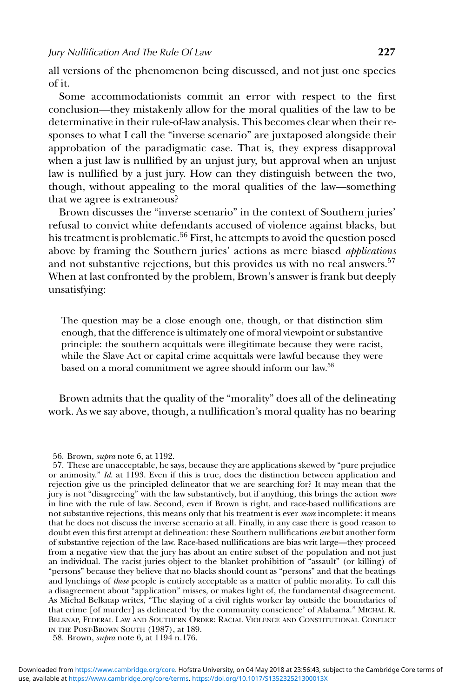all versions of the phenomenon being discussed, and not just one species of it.

Some accommodationists commit an error with respect to the first conclusion—they mistakenly allow for the moral qualities of the law to be determinative in their rule-of-law analysis. This becomes clear when their responses to what I call the "inverse scenario" are juxtaposed alongside their approbation of the paradigmatic case. That is, they express disapproval when a just law is nullified by an unjust jury, but approval when an unjust law is nullified by a just jury. How can they distinguish between the two, though, without appealing to the moral qualities of the law—something that we agree is extraneous?

Brown discusses the "inverse scenario" in the context of Southern juries' refusal to convict white defendants accused of violence against blacks, but his treatment is problematic.<sup>56</sup> First, he attempts to avoid the question posed above by framing the Southern juries' actions as mere biased *applications* and not substantive rejections, but this provides us with no real answers.<sup>57</sup> When at last confronted by the problem, Brown's answer is frank but deeply unsatisfying:

The question may be a close enough one, though, or that distinction slim enough, that the difference is ultimately one of moral viewpoint or substantive principle: the southern acquittals were illegitimate because they were racist, while the Slave Act or capital crime acquittals were lawful because they were based on a moral commitment we agree should inform our law.58

Brown admits that the quality of the "morality" does all of the delineating work. As we say above, though, a nullification's moral quality has no bearing

56. Brown, *supra* note 6, at 1192.

<sup>57.</sup> These are unacceptable, he says, because they are applications skewed by "pure prejudice or animosity." *Id*. at 1193. Even if this is true, does the distinction between application and rejection give us the principled delineator that we are searching for? It may mean that the jury is not "disagreeing" with the law substantively, but if anything, this brings the action *more* in line with the rule of law. Second, even if Brown is right, and race-based nullifications are not substantive rejections, this means only that his treatment is ever *more* incomplete: it means that he does not discuss the inverse scenario at all. Finally, in any case there is good reason to doubt even this first attempt at delineation: these Southern nullifications *are* but another form of substantive rejection of the law. Race-based nullifications are bias writ large—they proceed from a negative view that the jury has about an entire subset of the population and not just an individual. The racist juries object to the blanket prohibition of "assault" (or killing) of "persons" because they believe that no blacks should count as "persons" and that the beatings and lynchings of *these* people is entirely acceptable as a matter of public morality. To call this a disagreement about "application" misses, or makes light of, the fundamental disagreement. As Michal Belknap writes, "The slaying of a civil rights worker lay outside the boundaries of that crime [of murder] as delineated 'by the community conscience' of Alabama." MICHAL R. BELKNAP, FEDERAL LAW AND SOUTHERN ORDER: RACIAL VIOLENCE AND CONSTITUTIONAL CONFLICT IN THE POST-BROWN SOUTH (1987), at 189.

<sup>58.</sup> Brown, *supra* note 6, at 1194 n.176.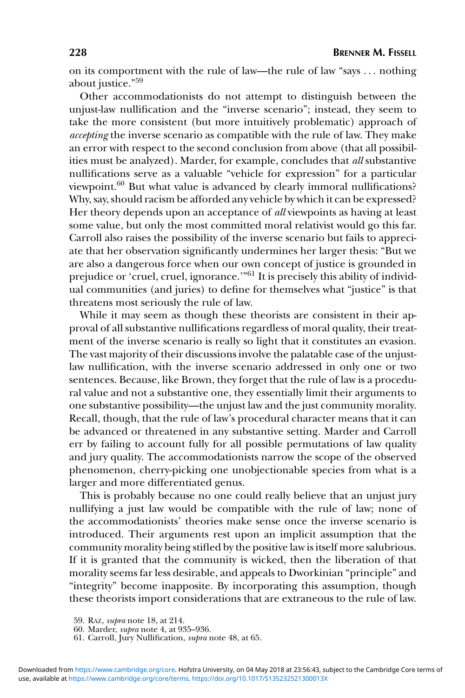on its comportment with the rule of law—the rule of law "says ... nothing about justice."59

Other accommodationists do not attempt to distinguish between the unjust-law nullification and the "inverse scenario"; instead, they seem to take the more consistent (but more intuitively problematic) approach of *accepting* the inverse scenario as compatible with the rule of law. They make an error with respect to the second conclusion from above (that all possibilities must be analyzed). Marder, for example, concludes that *all* substantive nullifications serve as a valuable "vehicle for expression" for a particular viewpoint.<sup>60</sup> But what value is advanced by clearly immoral nullifications? Why, say, should racism be afforded any vehicle by which it can be expressed? Her theory depends upon an acceptance of *all* viewpoints as having at least some value, but only the most committed moral relativist would go this far. Carroll also raises the possibility of the inverse scenario but fails to appreciate that her observation significantly undermines her larger thesis: "But we are also a dangerous force when our own concept of justice is grounded in prejudice or 'cruel, cruel, ignorance.'"<sup>61</sup> It is precisely this ability of individual communities (and juries) to define for themselves what "justice" is that threatens most seriously the rule of law.

While it may seem as though these theorists are consistent in their approval of all substantive nullifications regardless of moral quality, their treatment of the inverse scenario is really so light that it constitutes an evasion. The vast majority of their discussions involve the palatable case of the unjustlaw nullification, with the inverse scenario addressed in only one or two sentences. Because, like Brown, they forget that the rule of law is a procedural value and not a substantive one, they essentially limit their arguments to one substantive possibility—the unjust law and the just community morality. Recall, though, that the rule of law's procedural character means that it can be advanced or threatened in any substantive setting. Marder and Carroll err by failing to account fully for all possible permutations of law quality and jury quality. The accommodationists narrow the scope of the observed phenomenon, cherry-picking one unobjectionable species from what is a larger and more differentiated genus.

This is probably because no one could really believe that an unjust jury nullifying a just law would be compatible with the rule of law; none of the accommodationists' theories make sense once the inverse scenario is introduced. Their arguments rest upon an implicit assumption that the community morality being stifled by the positive law is itself more salubrious. If it is granted that the community is wicked, then the liberation of that morality seems far less desirable, and appeals to Dworkinian "principle" and "integrity" become inapposite. By incorporating this assumption, though these theorists import considerations that are extraneous to the rule of law.

<sup>59.</sup> RAZ, *supra* note 18, at 214.

<sup>60.</sup> Marder, *supra* note 4, at 935–936.

<sup>61.</sup> Carroll, Jury Nullification, *supra* note 48, at 65.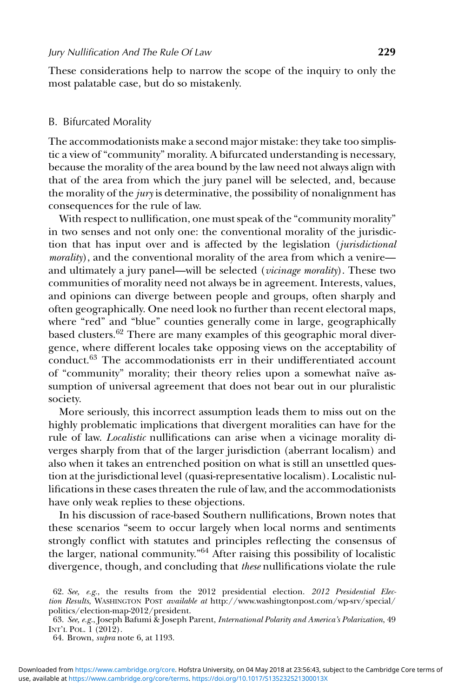These considerations help to narrow the scope of the inquiry to only the most palatable case, but do so mistakenly.

#### B. Bifurcated Morality

The accommodationists make a second major mistake: they take too simplistic a view of "community" morality. A bifurcated understanding is necessary, because the morality of the area bound by the law need not always align with that of the area from which the jury panel will be selected, and, because the morality of the *jury* is determinative, the possibility of nonalignment has consequences for the rule of law.

With respect to nullification, one must speak of the "community morality" in two senses and not only one: the conventional morality of the jurisdiction that has input over and is affected by the legislation (*jurisdictional morality*), and the conventional morality of the area from which a venire and ultimately a jury panel—will be selected (*vicinage morality*). These two communities of morality need not always be in agreement. Interests, values, and opinions can diverge between people and groups, often sharply and often geographically. One need look no further than recent electoral maps, where "red" and "blue" counties generally come in large, geographically based clusters.<sup>62</sup> There are many examples of this geographic moral divergence, where different locales take opposing views on the acceptability of conduct.<sup>63</sup> The accommodationists err in their undifferentiated account of "community" morality; their theory relies upon a somewhat naïve assumption of universal agreement that does not bear out in our pluralistic society.

More seriously, this incorrect assumption leads them to miss out on the highly problematic implications that divergent moralities can have for the rule of law. *Localistic* nullifications can arise when a vicinage morality diverges sharply from that of the larger jurisdiction (aberrant localism) and also when it takes an entrenched position on what is still an unsettled question at the jurisdictional level (quasi-representative localism). Localistic nullifications in these cases threaten the rule of law, and the accommodationists have only weak replies to these objections.

In his discussion of race-based Southern nullifications, Brown notes that these scenarios "seem to occur largely when local norms and sentiments strongly conflict with statutes and principles reflecting the consensus of the larger, national community."<sup>64</sup> After raising this possibility of localistic divergence, though, and concluding that *these* nullifications violate the rule

<sup>62.</sup> *See, e.g.*, the results from the 2012 presidential election. *2012 Presidential Election Results*, WASHINGTON POST *available at* http://www.washingtonpost.com/wp-srv/special/ politics/election-map-2012/president.

<sup>63.</sup> *See, e.g.*, Joseph Bafumi & Joseph Parent, *International Polarity and America's Polarization*, 49 INT'L POL. 1 (2012).

<sup>64.</sup> Brown, *supra* note 6, at 1193.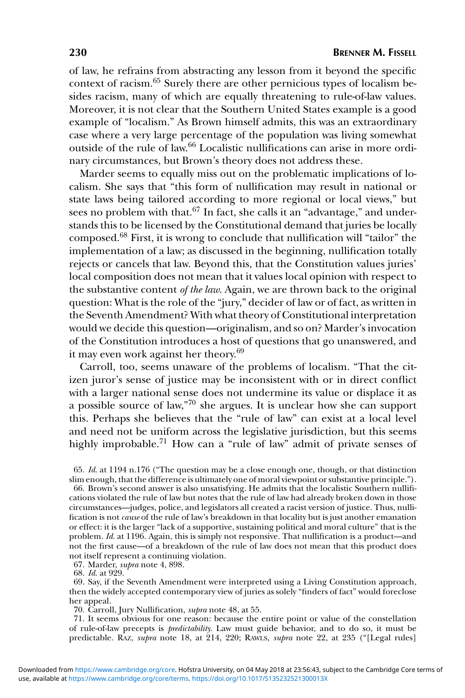of law, he refrains from abstracting any lesson from it beyond the specific context of racism.<sup>65</sup> Surely there are other pernicious types of localism besides racism, many of which are equally threatening to rule-of-law values. Moreover, it is not clear that the Southern United States example is a good example of "localism." As Brown himself admits, this was an extraordinary case where a very large percentage of the population was living somewhat outside of the rule of law.<sup>66</sup> Localistic nullifications can arise in more ordinary circumstances, but Brown's theory does not address these.

Marder seems to equally miss out on the problematic implications of localism. She says that "this form of nullification may result in national or state laws being tailored according to more regional or local views," but sees no problem with that.<sup>67</sup> In fact, she calls it an "advantage," and understands this to be licensed by the Constitutional demand that juries be locally composed.<sup>68</sup> First, it is wrong to conclude that nullification will "tailor" the implementation of a law; as discussed in the beginning, nullification totally rejects or cancels that law. Beyond this, that the Constitution values juries' local composition does not mean that it values local opinion with respect to the substantive content *of the law*. Again, we are thrown back to the original question: What is the role of the "jury," decider of law or of fact, as written in the Seventh Amendment? With what theory of Constitutional interpretation would we decide this question—originalism, and so on? Marder's invocation of the Constitution introduces a host of questions that go unanswered, and it may even work against her theory. $69$ 

Carroll, too, seems unaware of the problems of localism. "That the citizen juror's sense of justice may be inconsistent with or in direct conflict with a larger national sense does not undermine its value or displace it as a possible source of law,"70 she argues. It is unclear how she can support this. Perhaps she believes that the "rule of law" can exist at a local level and need not be uniform across the legislative jurisdiction, but this seems highly improbable.<sup>71</sup> How can a "rule of law" admit of private senses of

65. *Id*. at 1194 n.176 ("The question may be a close enough one, though, or that distinction slim enough, that the difference is ultimately one of moral viewpoint or substantive principle.").

66. Brown's second answer is also unsatisfying. He admits that the localistic Southern nullifications violated the rule of law but notes that the rule of law had already broken down in those circumstances—judges, police, and legislators all created a racist version of justice. Thus, nullification is not *cause* of the rule of law's breakdown in that locality but is just another emanation or effect: it is the larger "lack of a supportive, sustaining political and moral culture" that is the problem. *Id*. at 1196. Again, this is simply not responsive. That nullification is a product—and not the first cause—of a breakdown of the rule of law does not mean that this product does not itself represent a continuing violation.

67. Marder, *supra* note 4, 898.

68. *Id*. at 929.

69. Say, if the Seventh Amendment were interpreted using a Living Constitution approach, then the widely accepted contemporary view of juries as solely "finders of fact" would foreclose her appeal.

70. Carroll, Jury Nullification, *supra* note 48, at 55.

71. It seems obvious for one reason: because the entire point or value of the constellation of rule-of-law precepts is *predictability*. Law must guide behavior, and to do so, it must be predictable. RAZ, *supra* note 18, at 214, 220; RAWLS, *supra* note 22, at 235 ("[Legal rules]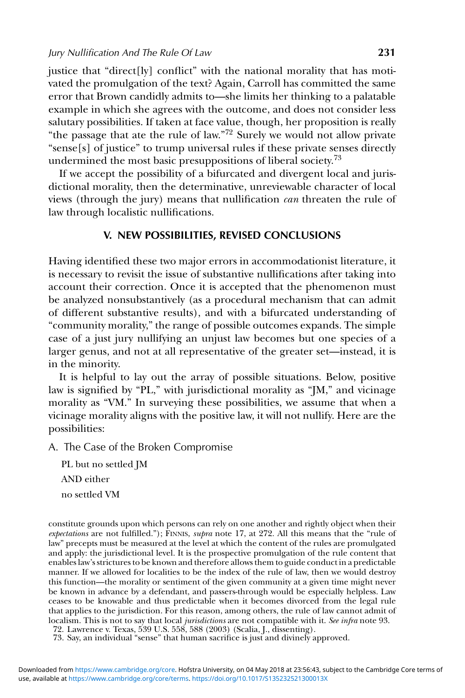justice that "direct[ly] conflict" with the national morality that has motivated the promulgation of the text? Again, Carroll has committed the same error that Brown candidly admits to—she limits her thinking to a palatable example in which she agrees with the outcome, and does not consider less salutary possibilities. If taken at face value, though, her proposition is really "the passage that ate the rule of law."72 Surely we would not allow private "sense[s] of justice" to trump universal rules if these private senses directly undermined the most basic presuppositions of liberal society.<sup>73</sup>

If we accept the possibility of a bifurcated and divergent local and jurisdictional morality, then the determinative, unreviewable character of local views (through the jury) means that nullification *can* threaten the rule of law through localistic nullifications.

#### **V. NEW POSSIBILITIES, REVISED CONCLUSIONS**

Having identified these two major errors in accommodationist literature, it is necessary to revisit the issue of substantive nullifications after taking into account their correction. Once it is accepted that the phenomenon must be analyzed nonsubstantively (as a procedural mechanism that can admit of different substantive results), and with a bifurcated understanding of "community morality," the range of possible outcomes expands. The simple case of a just jury nullifying an unjust law becomes but one species of a larger genus, and not at all representative of the greater set—instead, it is in the minority.

It is helpful to lay out the array of possible situations. Below, positive law is signified by "PL," with jurisdictional morality as "JM," and vicinage morality as "VM." In surveying these possibilities, we assume that when a vicinage morality aligns with the positive law, it will not nullify. Here are the possibilities:

A. The Case of the Broken Compromise

PL but no settled JM AND either no settled VM

constitute grounds upon which persons can rely on one another and rightly object when their *expectations* are not fulfilled."); FINNIS, *supra* note 17, at 272. All this means that the "rule of law" precepts must be measured at the level at which the content of the rules are promulgated and apply: the jurisdictional level. It is the prospective promulgation of the rule content that enables law's strictures to be known and therefore allows them to guide conduct in a predictable manner. If we allowed for localities to be the index of the rule of law, then we would destroy this function—the morality or sentiment of the given community at a given time might never be known in advance by a defendant, and passers-through would be especially helpless. Law ceases to be knowable and thus predictable when it becomes divorced from the legal rule that applies to the jurisdiction. For this reason, among others, the rule of law cannot admit of localism. This is not to say that local *jurisdictions* are not compatible with it. *See infra* note 93.

72. Lawrence v. Texas, 539 U.S. 558, 588 (2003) (Scalia, J., dissenting). 73. Say, an individual "sense" that human sacrifice is just and divinely approved.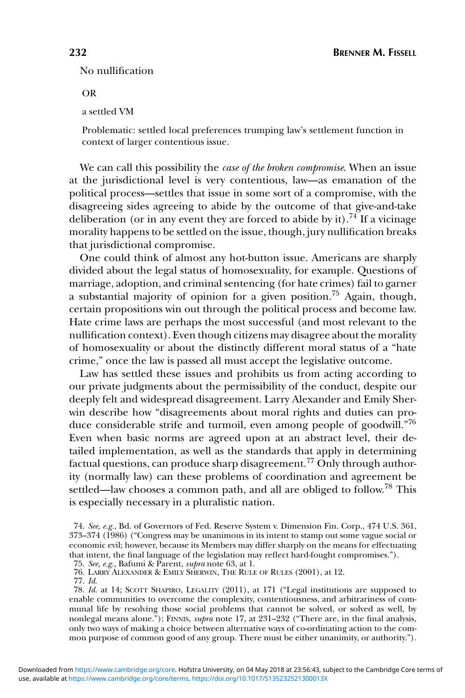#### No nullification

OR

a settled VM

Problematic: settled local preferences trumping law's settlement function in context of larger contentious issue.

We can call this possibility the *case of the broken compromise*. When an issue at the jurisdictional level is very contentious, law—as emanation of the political process—settles that issue in some sort of a compromise, with the disagreeing sides agreeing to abide by the outcome of that give-and-take deliberation (or in any event they are forced to abide by it).<sup>74</sup> If a vicinage morality happens to be settled on the issue, though, jury nullification breaks that jurisdictional compromise.

One could think of almost any hot-button issue. Americans are sharply divided about the legal status of homosexuality, for example. Questions of marriage, adoption, and criminal sentencing (for hate crimes) fail to garner a substantial majority of opinion for a given position.75 Again, though, certain propositions win out through the political process and become law. Hate crime laws are perhaps the most successful (and most relevant to the nullification context). Even though citizens may disagree about the morality of homosexuality or about the distinctly different moral status of a "hate crime," once the law is passed all must accept the legislative outcome.

Law has settled these issues and prohibits us from acting according to our private judgments about the permissibility of the conduct, despite our deeply felt and widespread disagreement. Larry Alexander and Emily Sherwin describe how "disagreements about moral rights and duties can produce considerable strife and turmoil, even among people of goodwill."76 Even when basic norms are agreed upon at an abstract level, their detailed implementation, as well as the standards that apply in determining factual questions, can produce sharp disagreement.<sup>77</sup> Only through authority (normally law) can these problems of coordination and agreement be settled—law chooses a common path, and all are obliged to follow.<sup>78</sup> This is especially necessary in a pluralistic nation.

<sup>74.</sup> *See, e.g.*, Bd. of Governors of Fed. Reserve System v. Dimension Fin. Corp., 474 U.S. 361, 373–374 (1986) ("Congress may be unanimous in its intent to stamp out some vague social or economic evil; however, because its Members may differ sharply on the means for effectuating that intent, the final language of the legislation may reflect hard-fought compromises.").

<sup>75.</sup> *See, e.g.*, Bafumi & Parent, *supra* note 63, at 1.

<sup>76.</sup> LARRY ALEXANDER & EMILY SHERWIN, THE RULE OF RULES (2001), at 12.

<sup>77.</sup> *Id*.

<sup>78.</sup> *Id*. at 14; SCOTT SHAPIRO, LEGALITY (2011), at 171 ("Legal institutions are supposed to enable communities to overcome the complexity, contentiousness, and arbitrariness of communal life by resolving those social problems that cannot be solved, or solved as well, by nonlegal means alone."); FINNIS, *supra* note 17, at 231–232 ("There are, in the final analysis, only two ways of making a choice between alternative ways of co-ordinating action to the common purpose of common good of any group. There must be either unanimity, or authority.").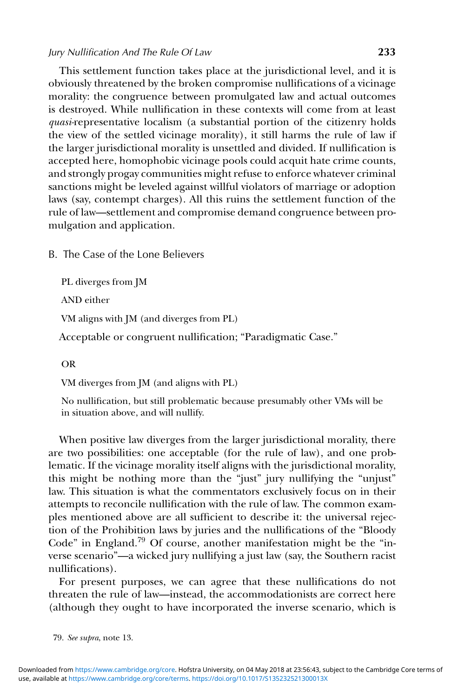This settlement function takes place at the jurisdictional level, and it is obviously threatened by the broken compromise nullifications of a vicinage morality: the congruence between promulgated law and actual outcomes is destroyed. While nullification in these contexts will come from at least *quasi-*representative localism (a substantial portion of the citizenry holds the view of the settled vicinage morality), it still harms the rule of law if the larger jurisdictional morality is unsettled and divided. If nullification is accepted here, homophobic vicinage pools could acquit hate crime counts, and strongly progay communities might refuse to enforce whatever criminal sanctions might be leveled against willful violators of marriage or adoption laws (say, contempt charges). All this ruins the settlement function of the rule of law—settlement and compromise demand congruence between promulgation and application.

B. The Case of the Lone Believers

PL diverges from JM

AND either

VM aligns with JM (and diverges from PL)

Acceptable or congruent nullification; "Paradigmatic Case."

OR

VM diverges from JM (and aligns with PL)

No nullification, but still problematic because presumably other VMs will be in situation above, and will nullify.

When positive law diverges from the larger jurisdictional morality, there are two possibilities: one acceptable (for the rule of law), and one problematic. If the vicinage morality itself aligns with the jurisdictional morality, this might be nothing more than the "just" jury nullifying the "unjust" law. This situation is what the commentators exclusively focus on in their attempts to reconcile nullification with the rule of law. The common examples mentioned above are all sufficient to describe it: the universal rejection of the Prohibition laws by juries and the nullifications of the "Bloody Code" in England.79 Of course, another manifestation might be the "inverse scenario"—a wicked jury nullifying a just law (say, the Southern racist nullifications).

For present purposes, we can agree that these nullifications do not threaten the rule of law—instead, the accommodationists are correct here (although they ought to have incorporated the inverse scenario, which is

79. *See supra*, note 13.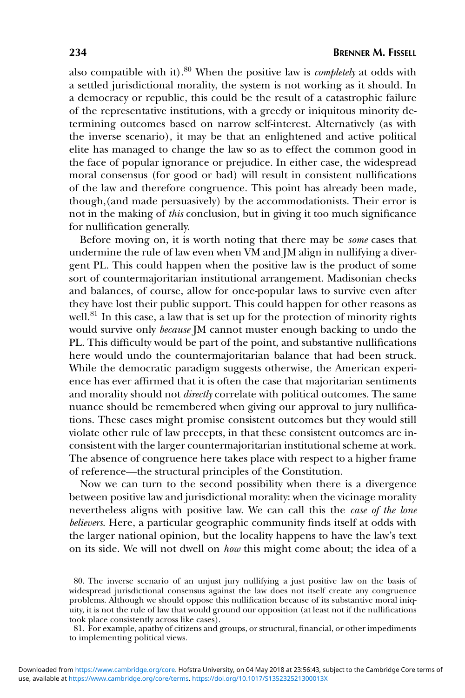also compatible with it).80 When the positive law is *completely* at odds with a settled jurisdictional morality, the system is not working as it should. In a democracy or republic, this could be the result of a catastrophic failure of the representative institutions, with a greedy or iniquitous minority determining outcomes based on narrow self-interest. Alternatively (as with the inverse scenario), it may be that an enlightened and active political elite has managed to change the law so as to effect the common good in the face of popular ignorance or prejudice. In either case, the widespread moral consensus (for good or bad) will result in consistent nullifications of the law and therefore congruence. This point has already been made, though,(and made persuasively) by the accommodationists. Their error is not in the making of *this* conclusion, but in giving it too much significance for nullification generally.

Before moving on, it is worth noting that there may be *some* cases that undermine the rule of law even when VM and JM align in nullifying a divergent PL. This could happen when the positive law is the product of some sort of countermajoritarian institutional arrangement. Madisonian checks and balances, of course, allow for once-popular laws to survive even after they have lost their public support. This could happen for other reasons as well. $81$  In this case, a law that is set up for the protection of minority rights would survive only *because* JM cannot muster enough backing to undo the PL. This difficulty would be part of the point, and substantive nullifications here would undo the countermajoritarian balance that had been struck. While the democratic paradigm suggests otherwise, the American experience has ever affirmed that it is often the case that majoritarian sentiments and morality should not *directly* correlate with political outcomes. The same nuance should be remembered when giving our approval to jury nullifications. These cases might promise consistent outcomes but they would still violate other rule of law precepts, in that these consistent outcomes are inconsistent with the larger countermajoritarian institutional scheme at work. The absence of congruence here takes place with respect to a higher frame of reference—the structural principles of the Constitution.

Now we can turn to the second possibility when there is a divergence between positive law and jurisdictional morality: when the vicinage morality nevertheless aligns with positive law. We can call this the *case of the lone believers*. Here, a particular geographic community finds itself at odds with the larger national opinion, but the locality happens to have the law's text on its side. We will not dwell on *how* this might come about; the idea of a

81. For example, apathy of citizens and groups, or structural, financial, or other impediments to implementing political views.

<sup>80.</sup> The inverse scenario of an unjust jury nullifying a just positive law on the basis of widespread jurisdictional consensus against the law does not itself create any congruence problems. Although we should oppose this nullification because of its substantive moral iniquity, it is not the rule of law that would ground our opposition (at least not if the nullifications took place consistently across like cases).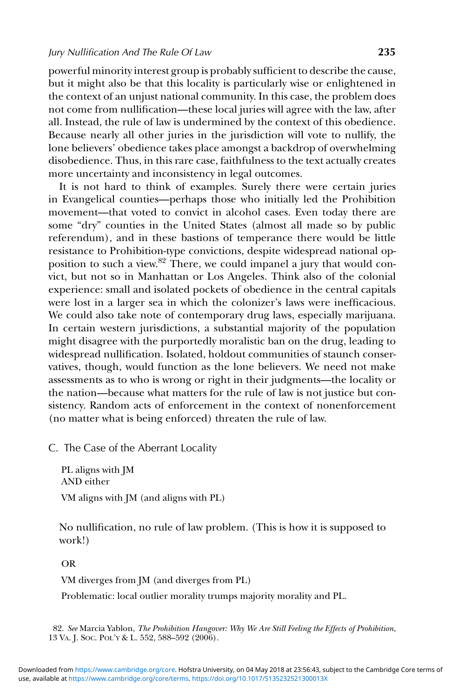powerful minority interest group is probably sufficient to describe the cause, but it might also be that this locality is particularly wise or enlightened in the context of an unjust national community. In this case, the problem does not come from nullification—these local juries will agree with the law, after all. Instead, the rule of law is undermined by the context of this obedience. Because nearly all other juries in the jurisdiction will vote to nullify, the lone believers' obedience takes place amongst a backdrop of overwhelming disobedience. Thus, in this rare case, faithfulness to the text actually creates more uncertainty and inconsistency in legal outcomes.

It is not hard to think of examples. Surely there were certain juries in Evangelical counties—perhaps those who initially led the Prohibition movement—that voted to convict in alcohol cases. Even today there are some "dry" counties in the United States (almost all made so by public referendum), and in these bastions of temperance there would be little resistance to Prohibition-type convictions, despite widespread national opposition to such a view. $82 \text{ There, we could impanel a jury that would con-}$ vict, but not so in Manhattan or Los Angeles. Think also of the colonial experience: small and isolated pockets of obedience in the central capitals were lost in a larger sea in which the colonizer's laws were inefficacious. We could also take note of contemporary drug laws, especially marijuana. In certain western jurisdictions, a substantial majority of the population might disagree with the purportedly moralistic ban on the drug, leading to widespread nullification. Isolated, holdout communities of staunch conservatives, though, would function as the lone believers. We need not make assessments as to who is wrong or right in their judgments—the locality or the nation—because what matters for the rule of law is not justice but consistency. Random acts of enforcement in the context of nonenforcement (no matter what is being enforced) threaten the rule of law.

C. The Case of the Aberrant Locality

PL aligns with JM AND either VM aligns with JM (and aligns with PL)

No nullification, no rule of law problem. (This is how it is supposed to work!)

OR

VM diverges from JM (and diverges from PL)

Problematic: local outlier morality trumps majority morality and PL.

82. *See* Marcia Yablon, *The Prohibition Hangover: Why We Are Still Feeling the Effects of Prohibition*, 13 VA. J. SOC. POL'Y & L. 552, 588–592 (2006).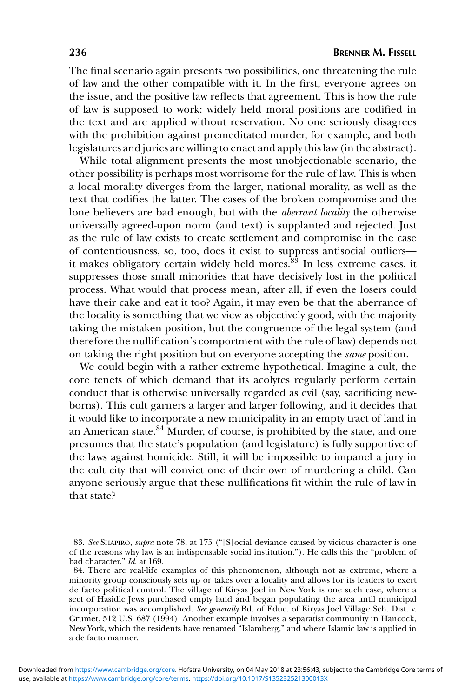The final scenario again presents two possibilities, one threatening the rule of law and the other compatible with it. In the first, everyone agrees on the issue, and the positive law reflects that agreement. This is how the rule of law is supposed to work: widely held moral positions are codified in the text and are applied without reservation. No one seriously disagrees with the prohibition against premeditated murder, for example, and both legislatures and juries are willing to enact and apply this law (in the abstract).

While total alignment presents the most unobjectionable scenario, the other possibility is perhaps most worrisome for the rule of law. This is when a local morality diverges from the larger, national morality, as well as the text that codifies the latter. The cases of the broken compromise and the lone believers are bad enough, but with the *aberrant locality* the otherwise universally agreed-upon norm (and text) is supplanted and rejected. Just as the rule of law exists to create settlement and compromise in the case of contentiousness, so, too, does it exist to suppress antisocial outliers it makes obligatory certain widely held mores.<sup>83</sup> In less extreme cases, it suppresses those small minorities that have decisively lost in the political process. What would that process mean, after all, if even the losers could have their cake and eat it too? Again, it may even be that the aberrance of the locality is something that we view as objectively good, with the majority taking the mistaken position, but the congruence of the legal system (and therefore the nullification's comportment with the rule of law) depends not on taking the right position but on everyone accepting the *same* position.

We could begin with a rather extreme hypothetical. Imagine a cult, the core tenets of which demand that its acolytes regularly perform certain conduct that is otherwise universally regarded as evil (say, sacrificing newborns). This cult garners a larger and larger following, and it decides that it would like to incorporate a new municipality in an empty tract of land in an American state. $84$  Murder, of course, is prohibited by the state, and one presumes that the state's population (and legislature) is fully supportive of the laws against homicide. Still, it will be impossible to impanel a jury in the cult city that will convict one of their own of murdering a child. Can anyone seriously argue that these nullifications fit within the rule of law in that state?

84. There are real-life examples of this phenomenon, although not as extreme, where a minority group consciously sets up or takes over a locality and allows for its leaders to exert de facto political control. The village of Kiryas Joel in New York is one such case, where a sect of Hasidic Jews purchased empty land and began populating the area until municipal incorporation was accomplished. *See generally* Bd. of Educ. of Kiryas Joel Village Sch. Dist. v. Grumet, 512 U.S. 687 (1994). Another example involves a separatist community in Hancock, New York, which the residents have renamed "Islamberg," and where Islamic law is applied in a de facto manner.

<sup>83.</sup> *See* SHAPIRO, *supra* note 78, at 175 ("[S]ocial deviance caused by vicious character is one of the reasons why law is an indispensable social institution."). He calls this the "problem of bad character." *Id*. at 169.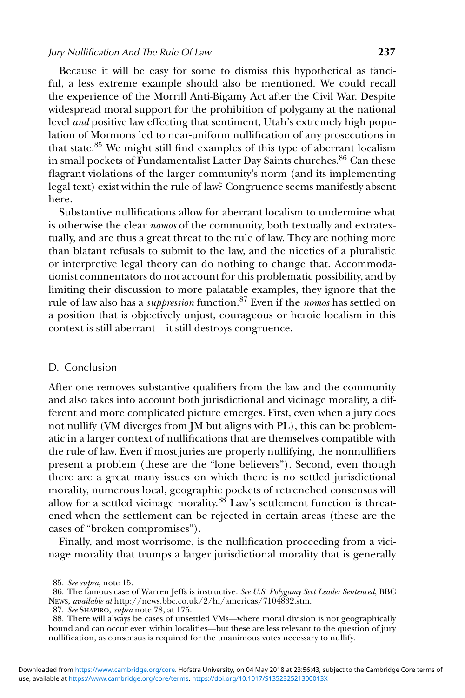Because it will be easy for some to dismiss this hypothetical as fanciful, a less extreme example should also be mentioned. We could recall the experience of the Morrill Anti-Bigamy Act after the Civil War. Despite widespread moral support for the prohibition of polygamy at the national level *and* positive law effecting that sentiment, Utah's extremely high population of Mormons led to near-uniform nullification of any prosecutions in that state. $85$  We might still find examples of this type of aberrant localism in small pockets of Fundamentalist Latter Day Saints churches.<sup>86</sup> Can these flagrant violations of the larger community's norm (and its implementing legal text) exist within the rule of law? Congruence seems manifestly absent here.

Substantive nullifications allow for aberrant localism to undermine what is otherwise the clear *nomos* of the community, both textually and extratextually, and are thus a great threat to the rule of law. They are nothing more than blatant refusals to submit to the law, and the niceties of a pluralistic or interpretive legal theory can do nothing to change that. Accommodationist commentators do not account for this problematic possibility, and by limiting their discussion to more palatable examples, they ignore that the rule of law also has a *suppression* function.87 Even if the *nomos* has settled on a position that is objectively unjust, courageous or heroic localism in this context is still aberrant—it still destroys congruence.

#### D. Conclusion

After one removes substantive qualifiers from the law and the community and also takes into account both jurisdictional and vicinage morality, a different and more complicated picture emerges. First, even when a jury does not nullify (VM diverges from JM but aligns with PL), this can be problematic in a larger context of nullifications that are themselves compatible with the rule of law. Even if most juries are properly nullifying, the nonnullifiers present a problem (these are the "lone believers"). Second, even though there are a great many issues on which there is no settled jurisdictional morality, numerous local, geographic pockets of retrenched consensus will allow for a settled vicinage morality.<sup>88</sup> Law's settlement function is threatened when the settlement can be rejected in certain areas (these are the cases of "broken compromises").

Finally, and most worrisome, is the nullification proceeding from a vicinage morality that trumps a larger jurisdictional morality that is generally

<sup>85.</sup> *See supra*, note 15.

<sup>86.</sup> The famous case of Warren Jeffs is instructive. *See U.S. Polygamy Sect Leader Sentenced*, BBC NEWS, *available at* http://news.bbc.co.uk/2/hi/americas/7104832.stm.

<sup>87.</sup> *See* SHAPIRO, *supra* note 78, at 175.

<sup>88.</sup> There will always be cases of unsettled VMs—where moral division is not geographically bound and can occur even within localities—but these are less relevant to the question of jury nullification, as consensus is required for the unanimous votes necessary to nullify.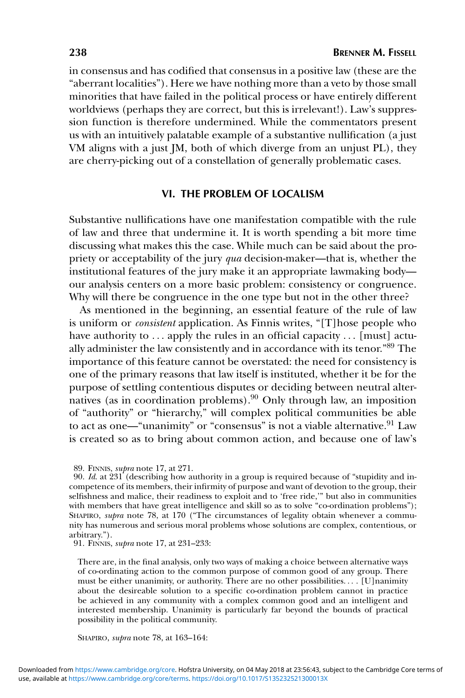in consensus and has codified that consensus in a positive law (these are the "aberrant localities"). Here we have nothing more than a veto by those small minorities that have failed in the political process or have entirely different worldviews (perhaps they are correct, but this is irrelevant!). Law's suppression function is therefore undermined. While the commentators present us with an intuitively palatable example of a substantive nullification (a just VM aligns with a just JM, both of which diverge from an unjust PL), they are cherry-picking out of a constellation of generally problematic cases.

#### **VI. THE PROBLEM OF LOCALISM**

Substantive nullifications have one manifestation compatible with the rule of law and three that undermine it. It is worth spending a bit more time discussing what makes this the case. While much can be said about the propriety or acceptability of the jury *qua* decision-maker—that is, whether the institutional features of the jury make it an appropriate lawmaking body our analysis centers on a more basic problem: consistency or congruence. Why will there be congruence in the one type but not in the other three?

As mentioned in the beginning, an essential feature of the rule of law is uniform or *consistent* application. As Finnis writes, "[T]hose people who have authority to ... apply the rules in an official capacity ... [must] actually administer the law consistently and in accordance with its tenor."<sup>89</sup> The importance of this feature cannot be overstated: the need for consistency is one of the primary reasons that law itself is instituted, whether it be for the purpose of settling contentious disputes or deciding between neutral alternatives (as in coordination problems). $90$  Only through law, an imposition of "authority" or "hierarchy," will complex political communities be able to act as one—"unanimity" or "consensus" is not a viable alternative.<sup>91</sup> Law is created so as to bring about common action, and because one of law's

91. FINNIS, *supra* note 17, at 231–233:

There are, in the final analysis, only two ways of making a choice between alternative ways of co-ordinating action to the common purpose of common good of any group. There must be either unanimity, or authority. There are no other possibilities... . [U]nanimity about the desireable solution to a specific co-ordination problem cannot in practice be achieved in any community with a complex common good and an intelligent and interested membership. Unanimity is particularly far beyond the bounds of practical possibility in the political community.

SHAPIRO, *supra* note 78, at 163–164:

<sup>89.</sup> FINNIS, *supra* note 17, at 271.

<sup>90.</sup> *Id*. at 231 (describing how authority in a group is required because of "stupidity and incompetence of its members, their infirmity of purpose and want of devotion to the group, their selfishness and malice, their readiness to exploit and to 'free ride,'" but also in communities with members that have great intelligence and skill so as to solve "co-ordination problems"); SHAPIRO, *supra* note 78, at 170 ("The circumstances of legality obtain whenever a community has numerous and serious moral problems whose solutions are complex, contentious, or arbitrary.").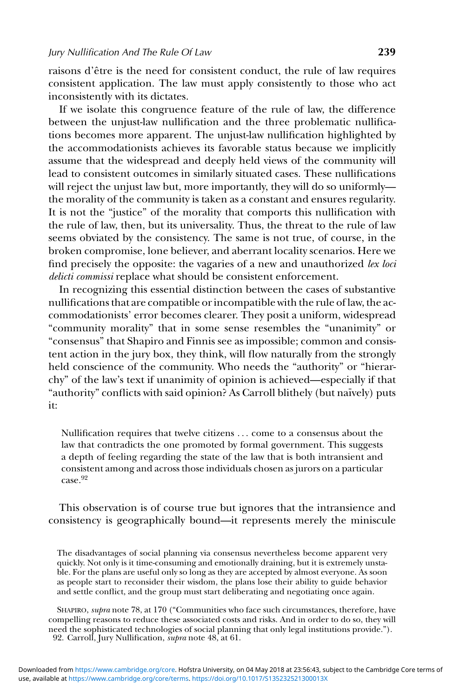raisons d'être is the need for consistent conduct, the rule of law requires consistent application. The law must apply consistently to those who act inconsistently with its dictates.

If we isolate this congruence feature of the rule of law, the difference between the unjust-law nullification and the three problematic nullifications becomes more apparent. The unjust-law nullification highlighted by the accommodationists achieves its favorable status because we implicitly assume that the widespread and deeply held views of the community will lead to consistent outcomes in similarly situated cases. These nullifications will reject the unjust law but, more importantly, they will do so uniformly the morality of the community is taken as a constant and ensures regularity. It is not the "justice" of the morality that comports this nullification with the rule of law, then, but its universality. Thus, the threat to the rule of law seems obviated by the consistency. The same is not true, of course, in the broken compromise, lone believer, and aberrant locality scenarios. Here we find precisely the opposite: the vagaries of a new and unauthorized *lex loci delicti commissi* replace what should be consistent enforcement.

In recognizing this essential distinction between the cases of substantive nullifications that are compatible or incompatible with the rule of law, the accommodationists' error becomes clearer. They posit a uniform, widespread "community morality" that in some sense resembles the "unanimity" or "consensus" that Shapiro and Finnis see as impossible; common and consistent action in the jury box, they think, will flow naturally from the strongly held conscience of the community. Who needs the "authority" or "hierarchy" of the law's text if unanimity of opinion is achieved—especially if that "authority" conflicts with said opinion? As Carroll blithely (but naïvely) puts it:

Nullification requires that twelve citizens ... come to a consensus about the law that contradicts the one promoted by formal government. This suggests a depth of feeling regarding the state of the law that is both intransient and consistent among and across those individuals chosen as jurors on a particular  $case$ <sup>92</sup>

This observation is of course true but ignores that the intransience and consistency is geographically bound—it represents merely the miniscule

The disadvantages of social planning via consensus nevertheless become apparent very quickly. Not only is it time-consuming and emotionally draining, but it is extremely unstable. For the plans are useful only so long as they are accepted by almost everyone. As soon as people start to reconsider their wisdom, the plans lose their ability to guide behavior and settle conflict, and the group must start deliberating and negotiating once again.

SHAPIRO, *supra* note 78, at 170 ("Communities who face such circumstances, therefore, have compelling reasons to reduce these associated costs and risks. And in order to do so, they will need the sophisticated technologies of social planning that only legal institutions provide."). 92. Carroll, Jury Nullification, *supra* note 48, at 61.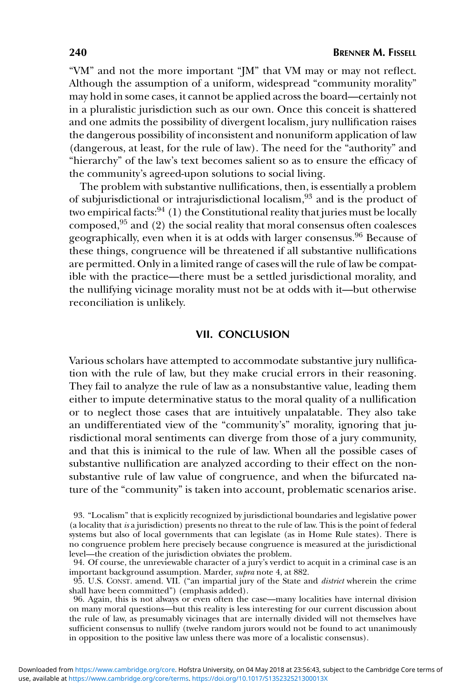"VM" and not the more important "JM" that VM may or may not reflect. Although the assumption of a uniform, widespread "community morality" may hold in some cases, it cannot be applied across the board—certainly not in a pluralistic jurisdiction such as our own. Once this conceit is shattered and one admits the possibility of divergent localism, jury nullification raises the dangerous possibility of inconsistent and nonuniform application of law (dangerous, at least, for the rule of law). The need for the "authority" and "hierarchy" of the law's text becomes salient so as to ensure the efficacy of the community's agreed-upon solutions to social living.

The problem with substantive nullifications, then, is essentially a problem of subjurisdictional or intrajurisdictional localism,<sup>93</sup> and is the product of two empirical facts:  $94$  (1) the Constitutional reality that juries must be locally composed,<sup>95</sup> and (2) the social reality that moral consensus often coalesces geographically, even when it is at odds with larger consensus.<sup>96</sup> Because of these things, congruence will be threatened if all substantive nullifications are permitted. Only in a limited range of cases will the rule of law be compatible with the practice—there must be a settled jurisdictional morality, and the nullifying vicinage morality must not be at odds with it—but otherwise reconciliation is unlikely.

#### **VII. CONCLUSION**

Various scholars have attempted to accommodate substantive jury nullification with the rule of law, but they make crucial errors in their reasoning. They fail to analyze the rule of law as a nonsubstantive value, leading them either to impute determinative status to the moral quality of a nullification or to neglect those cases that are intuitively unpalatable. They also take an undifferentiated view of the "community's" morality, ignoring that jurisdictional moral sentiments can diverge from those of a jury community, and that this is inimical to the rule of law. When all the possible cases of substantive nullification are analyzed according to their effect on the nonsubstantive rule of law value of congruence, and when the bifurcated nature of the "community" is taken into account, problematic scenarios arise.

96. Again, this is not always or even often the case—many localities have internal division on many moral questions—but this reality is less interesting for our current discussion about the rule of law, as presumably vicinages that are internally divided will not themselves have sufficient consensus to nullify (twelve random jurors would not be found to act unanimously in opposition to the positive law unless there was more of a localistic consensus).

<sup>93. &</sup>quot;Localism" that is explicitly recognized by jurisdictional boundaries and legislative power (a locality that *is* a jurisdiction) presents no threat to the rule of law. This is the point of federal systems but also of local governments that can legislate (as in Home Rule states). There is no congruence problem here precisely because congruence is measured at the jurisdictional level—the creation of the jurisdiction obviates the problem.

<sup>94.</sup> Of course, the unreviewable character of a jury's verdict to acquit in a criminal case is an important background assumption. Marder, *supra* note 4, at 882.

<sup>95.</sup> U.S. CONST. amend. VII. ("an impartial jury of the State and *district* wherein the crime shall have been committed") (emphasis added).